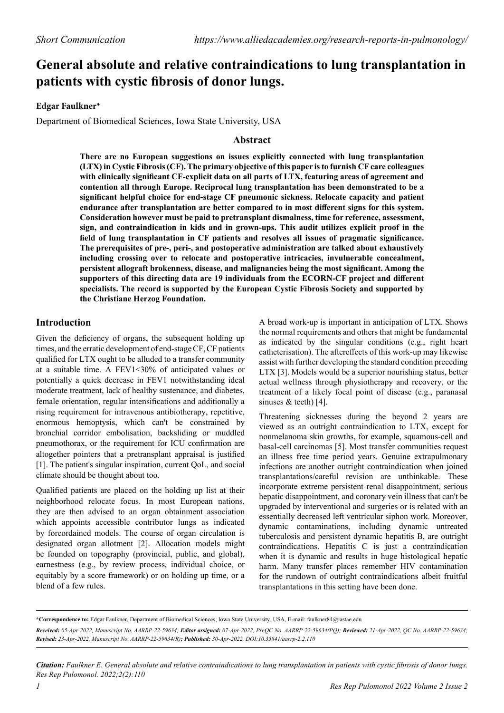# **General absolute and relative contraindications to lung transplantation in patients with cystic fibrosis of donor lungs.**

### **Edgar Faulkner\***

Department of Biomedical Sciences, Iowa State University, USA

### **Abstract**

**There are no European suggestions on issues explicitly connected with lung transplantation (LTX) in Cystic Fibrosis (CF). The primary objective of this paper is to furnish CF care colleagues with clinically significant CF-explicit data on all parts of LTX, featuring areas of agreement and contention all through Europe. Reciprocal lung transplantation has been demonstrated to be a significant helpful choice for end-stage CF pneumonic sickness. Relocate capacity and patient endurance after transplantation are better compared to in most different signs for this system. Consideration however must be paid to pretransplant dismalness, time for reference, assessment, sign, and contraindication in kids and in grown-ups. This audit utilizes explicit proof in the field of lung transplantation in CF patients and resolves all issues of pragmatic significance. The prerequisites of pre-, peri-, and postoperative administration are talked about exhaustively including crossing over to relocate and postoperative intricacies, invulnerable concealment, persistent allograft brokenness, disease, and malignancies being the most significant. Among the supporters of this directing data are 19 individuals from the ECORN-CF project and different specialists. The record is supported by the European Cystic Fibrosis Society and supported by the Christiane Herzog Foundation.**

## **Introduction**

Given the deficiency of organs, the subsequent holding up times, and the erratic development of end-stage CF, CF patients qualified for LTX ought to be alluded to a transfer community at a suitable time. A FEV1<30% of anticipated values or potentially a quick decrease in FEV1 notwithstanding ideal moderate treatment, lack of healthy sustenance, and diabetes, female orientation, regular intensifications and additionally a rising requirement for intravenous antibiotherapy, repetitive, enormous hemoptysis, which can't be constrained by bronchial corridor embolisation, backsliding or muddled pneumothorax, or the requirement for ICU confirmation are altogether pointers that a pretransplant appraisal is justified [1]. The patient's singular inspiration, current QoL, and social climate should be thought about too.

Qualified patients are placed on the holding up list at their neighborhood relocate focus. In most European nations, they are then advised to an organ obtainment association which appoints accessible contributor lungs as indicated by foreordained models. The course of organ circulation is designated organ allotment [2]. Allocation models might be founded on topography (provincial, public, and global), earnestness (e.g., by review process, individual choice, or equitably by a score framework) or on holding up time, or a blend of a few rules.

A broad work-up is important in anticipation of LTX. Shows the normal requirements and others that might be fundamental as indicated by the singular conditions (e.g., right heart catheterisation). The aftereffects of this work-up may likewise assist with further developing the standard condition preceding LTX [3]. Models would be a superior nourishing status, better actual wellness through physiotherapy and recovery, or the treatment of a likely focal point of disease (e.g., paranasal sinuses & teeth) [4].

Threatening sicknesses during the beyond 2 years are viewed as an outright contraindication to LTX, except for nonmelanoma skin growths, for example, squamous-cell and basal-cell carcinomas [5]. Most transfer communities request an illness free time period years. Genuine extrapulmonary infections are another outright contraindication when joined transplantations/careful revision are unthinkable. These incorporate extreme persistent renal disappointment, serious hepatic disappointment, and coronary vein illness that can't be upgraded by interventional and surgeries or is related with an essentially decreased left ventricular siphon work. Moreover, dynamic contaminations, including dynamic untreated tuberculosis and persistent dynamic hepatitis B, are outright contraindications. Hepatitis C is just a contraindication when it is dynamic and results in huge histological hepatic harm. Many transfer places remember HIV contamination for the rundown of outright contraindications albeit fruitful transplantations in this setting have been done.

**\*Correspondence to:** Edgar Faulkner, Department of Biomedical Sciences, Iowa State University, USA, E-mail: faulkner84@iastae.edu *Received: 05-Apr-2022, Manuscript No. AARRP-22-59634; Editor assigned: 07-Apr-2022, PreQC No. AARRP-22-59634(PQ); Reviewed: 21-Apr-2022, QC No. AARRP-22-59634; Revised: 23-Apr-2022, Manuscript No. AARRP-22-59634(R); Published: 30-Apr-2022, DOI:10.35841/aarrp-2.2.110*

*Citation: Faulkner E. General absolute and relative contraindications to lung transplantation in patients with cystic fibrosis of donor lungs. Res Rep Pulomonol. 2022;2(2):110*